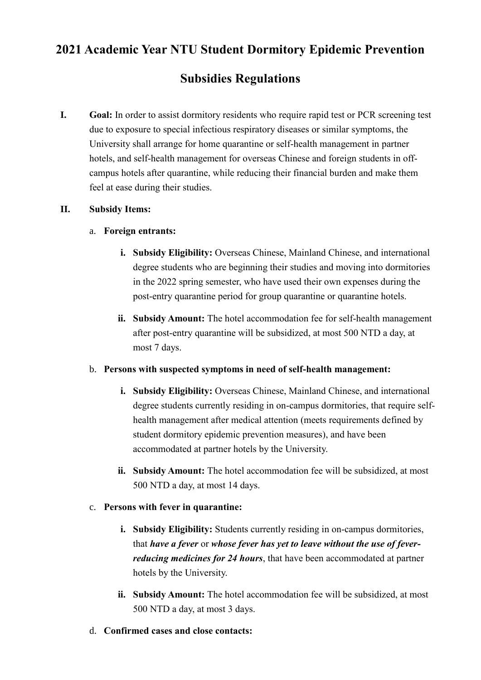# **2021 Academic Year NTU Student Dormitory Epidemic Prevention**

# **Subsidies Regulations**

**I. Goal:** In order to assist dormitory residents who require rapid test or PCR screening test due to exposure to special infectious respiratory diseases or similar symptoms, the University shall arrange for home quarantine or self-health management in partner hotels, and self-health management for overseas Chinese and foreign students in offcampus hotels after quarantine, while reducing their financial burden and make them feel at ease during their studies.

#### **II. Subsidy Items:**

#### a. **Foreign entrants:**

- **i.** Subsidy Eligibility: Overseas Chinese, Mainland Chinese, and international degree students who are beginning their studies and moving into dormitories in the 2022 spring semester, who have used their own expenses during the post-entry quarantine period for group quarantine or quarantine hotels.
- **ii. Subsidy Amount:** The hotel accommodation fee for self-health management after post-entry quarantine will be subsidized, at most 500 NTD a day, at most 7 days.

## b. **Persons with suspected symptoms in need of self-health management:**

- **i.** Subsidy Eligibility: Overseas Chinese, Mainland Chinese, and international degree students currently residing in on-campus dormitories, that require selfhealth management after medical attention (meets requirements defined by student dormitory epidemic prevention measures), and have been accommodated at partner hotels by the University.
- **ii. Subsidy Amount:** The hotel accommodation fee will be subsidized, at most 500 NTD a day, at most 14 days.

## c. **Persons with fever in quarantine:**

- **i. Subsidy Eligibility:** Students currently residing in on-campus dormitories, that *have a fever* or *whose fever has yet to leave without the use of feverreducing medicines for 24 hours*, that have been accommodated at partner hotels by the University.
- **ii. Subsidy Amount:** The hotel accommodation fee will be subsidized, at most 500 NTD a day, at most 3 days.
- d. **Confirmed cases and close contacts:**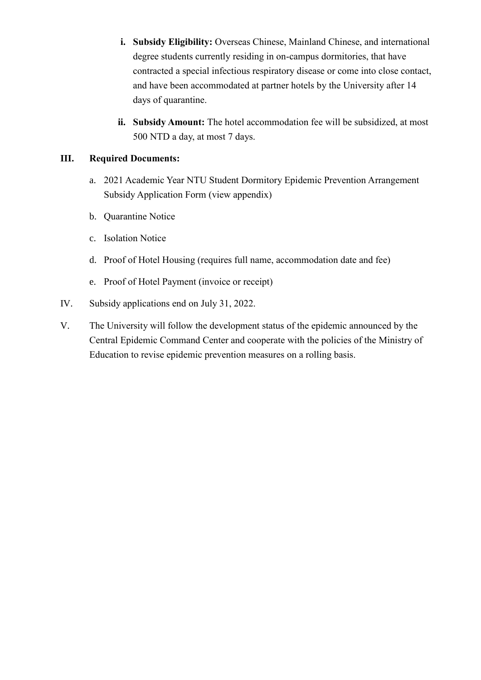- **i. Subsidy Eligibility:** Overseas Chinese, Mainland Chinese, and international degree students currently residing in on-campus dormitories, that have contracted a special infectious respiratory disease or come into close contact, and have been accommodated at partner hotels by the University after 14 days of quarantine.
- **ii. Subsidy Amount:** The hotel accommodation fee will be subsidized, at most 500 NTD a day, at most 7 days.

# **III. Required Documents:**

- a. 2021 Academic Year NTU Student Dormitory Epidemic Prevention Arrangement Subsidy Application Form (view appendix)
- b. Quarantine Notice
- c. Isolation Notice
- d. Proof of Hotel Housing (requires full name, accommodation date and fee)
- e. Proof of Hotel Payment (invoice or receipt)
- IV. Subsidy applications end on July 31, 2022.
- V. The University will follow the development status of the epidemic announced by the Central Epidemic Command Center and cooperate with the policies of the Ministry of Education to revise epidemic prevention measures on a rolling basis.